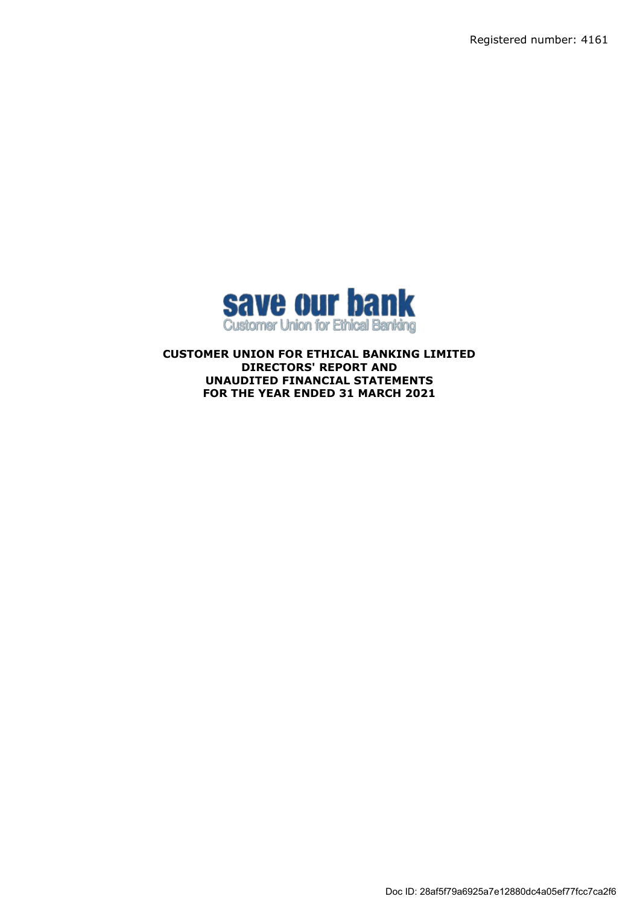Registered number: 4161



**CUSTOMER UNION FOR ETHICAL BANKING LIMITED DIRECTORS' REPORT AND UNAUDITED FINANCIAL STATEMENTS FOR THE YEAR ENDED 31 MARCH 2021**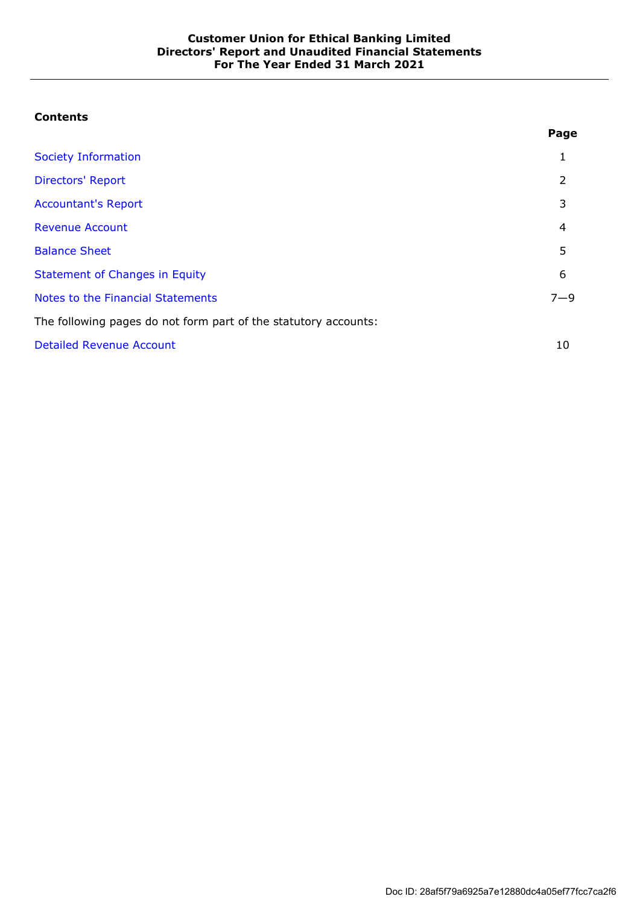# **Contents**

|                                                                 | Page    |
|-----------------------------------------------------------------|---------|
| Society Information                                             | 1       |
| <b>Directors' Report</b>                                        | 2       |
| <b>Accountant's Report</b>                                      | 3       |
| <b>Revenue Account</b>                                          | 4       |
| <b>Balance Sheet</b>                                            | 5       |
| <b>Statement of Changes in Equity</b>                           | 6       |
| Notes to the Financial Statements                               | $7 - 9$ |
| The following pages do not form part of the statutory accounts: |         |
| <b>Detailed Revenue Account</b>                                 | 10      |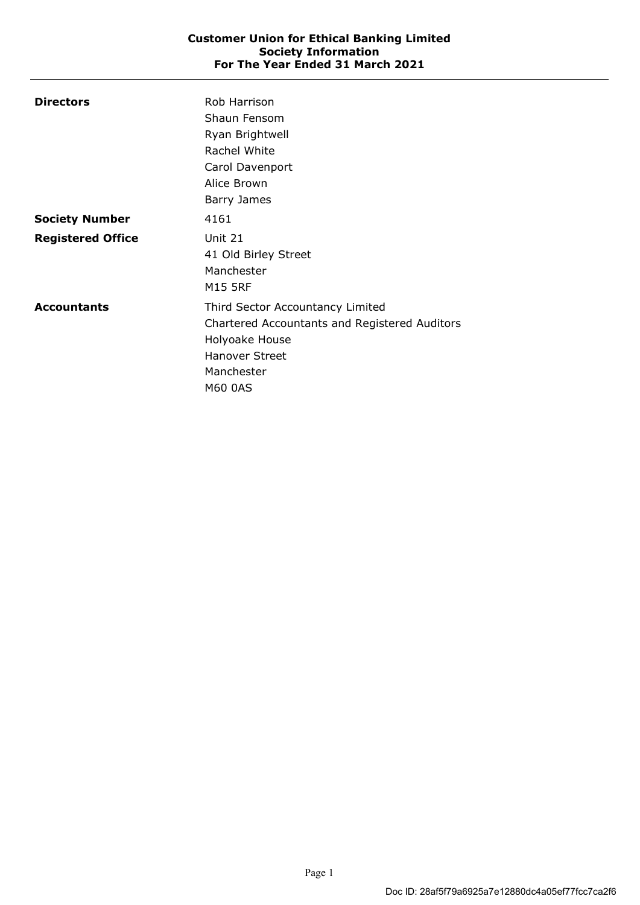| <b>Directors</b>         | Rob Harrison                                  |
|--------------------------|-----------------------------------------------|
|                          | Shaun Fensom                                  |
|                          | Ryan Brightwell                               |
|                          | Rachel White                                  |
|                          | Carol Davenport                               |
|                          | Alice Brown                                   |
|                          | Barry James                                   |
| <b>Society Number</b>    | 4161                                          |
| <b>Registered Office</b> | Unit 21                                       |
|                          | 41 Old Birley Street                          |
|                          | Manchester                                    |
|                          | <b>M15 5RF</b>                                |
| <b>Accountants</b>       | Third Sector Accountancy Limited              |
|                          | Chartered Accountants and Registered Auditors |
|                          | Holyoake House                                |
|                          | <b>Hanover Street</b>                         |
|                          | Manchester                                    |
|                          | M60 0AS                                       |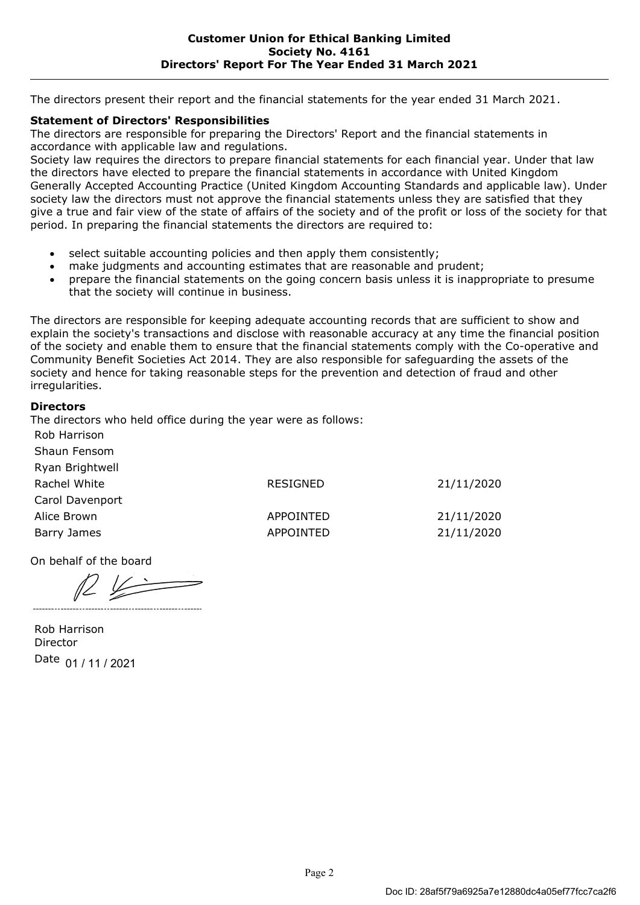The directors present their report and the financial statements for the year ended 31 March 2021.

# **Statement of Directors' Responsibilities**

The directors are responsible for preparing the Directors' Report and the financial statements in accordance with applicable law and regulations.

Society law requires the directors to prepare financial statements for each financial year. Under that law the directors have elected to prepare the financial statements in accordance with United Kingdom Generally Accepted Accounting Practice (United Kingdom Accounting Standards and applicable law). Under society law the directors must not approve the financial statements unless they are satisfied that they give a true and fair view of the state of affairs of the society and of the profit or loss of the society for that period. In preparing the financial statements the directors are required to:

- select suitable accounting policies and then apply them consistently;
- make judgments and accounting estimates that are reasonable and prudent;
- prepare the financial statements on the going concern basis unless it is inappropriate to presume that the society will continue in business.

The directors are responsible for keeping adequate accounting records that are sufficient to show and explain the society's transactions and disclose with reasonable accuracy at any time the financial position of the society and enable them to ensure that the financial statements comply with the Co-operative and Community Benefit Societies Act 2014. They are also responsible for safeguarding the assets of the society and hence for taking reasonable steps for the prevention and detection of fraud and other irregularities.

## **Directors**

The directors who held office during the year were as follows:

| Rob Harrison    |                  |            |
|-----------------|------------------|------------|
| Shaun Fensom    |                  |            |
| Ryan Brightwell |                  |            |
| Rachel White    | RESIGNED         | 21/11/2020 |
| Carol Davenport |                  |            |
| Alice Brown     | <b>APPOINTED</b> | 21/11/2020 |
| Barry James     | <b>APPOINTED</b> | 21/11/2020 |

On behalf of the board

 $R$ 

Rob Harrison Director Date 01 / 11 / 2021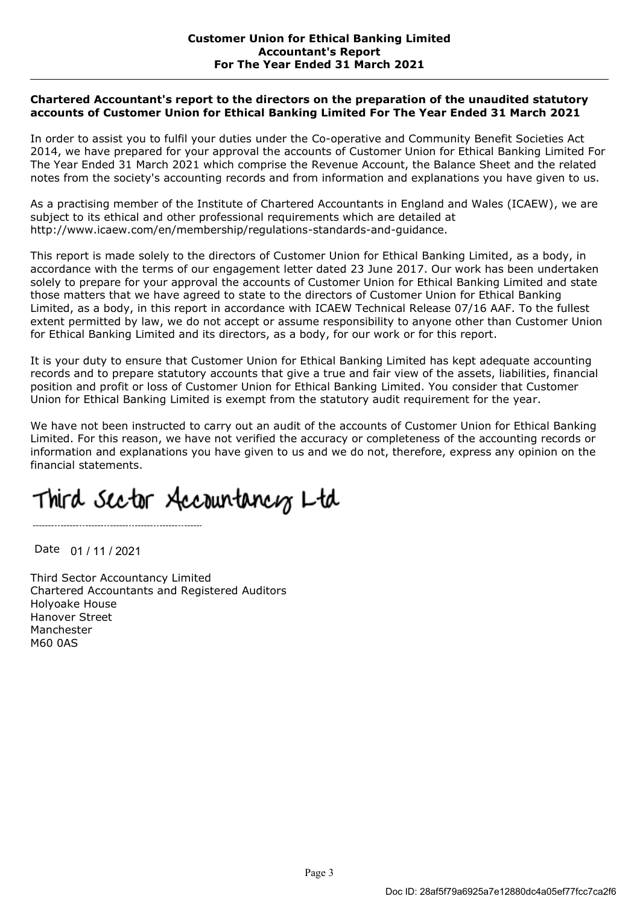### **Chartered Accountant's report to the directors on the preparation of the unaudited statutory accounts of Customer Union for Ethical Banking Limited For The Year Ended 31 March 2021**

In order to assist you to fulfil your duties under the Co-operative and Community Benefit Societies Act 2014, we have prepared for your approval the accounts of Customer Union for Ethical Banking Limited For The Year Ended 31 March 2021 which comprise the Revenue Account, the Balance Sheet and the related notes from the society's accounting records and from information and explanations you have given to us.

As a practising member of the Institute of Chartered Accountants in England and Wales (ICAEW), we are subject to its ethical and other professional requirements which are detailed at http://www.icaew.com/en/membership/regulations-standards-and-guidance.

This report is made solely to the directors of Customer Union for Ethical Banking Limited, as a body, in accordance with the terms of our engagement letter dated 23 June 2017. Our work has been undertaken solely to prepare for your approval the accounts of Customer Union for Ethical Banking Limited and state those matters that we have agreed to state to the directors of Customer Union for Ethical Banking Limited, as a body, in this report in accordance with ICAEW Technical Release 07/16 AAF. To the fullest extent permitted by law, we do not accept or assume responsibility to anyone other than Customer Union for Ethical Banking Limited and its directors, as a body, for our work or for this report.

It is your duty to ensure that Customer Union for Ethical Banking Limited has kept adequate accounting records and to prepare statutory accounts that give a true and fair view of the assets, liabilities, financial position and profit or loss of Customer Union for Ethical Banking Limited. You consider that Customer Union for Ethical Banking Limited is exempt from the statutory audit requirement for the year.

We have not been instructed to carry out an audit of the accounts of Customer Union for Ethical Banking Limited. For this reason, we have not verified the accuracy or completeness of the accounting records or information and explanations you have given to us and we do not, therefore, express any opinion on the financial statements.

# Third Sector Accountancy Ltd

Date 01 / 11 / 2021

Third Sector Accountancy Limited Chartered Accountants and Registered Auditors Holyoake House Hanover Street Manchester M60 0AS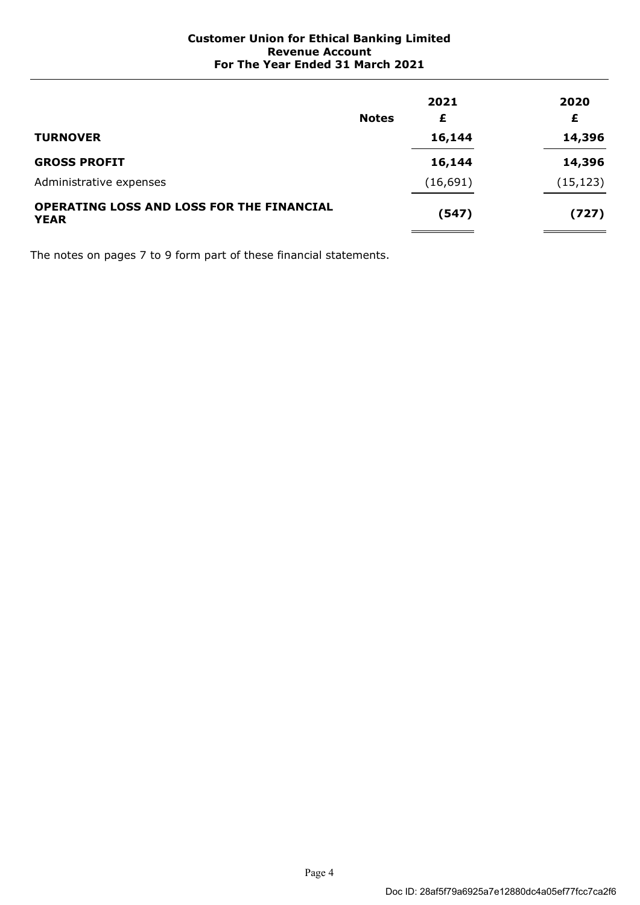| <b>TURNOVER</b>                                          | <b>Notes</b> | 2021<br>£<br>16,144 | 2020<br>£<br>14,396 |
|----------------------------------------------------------|--------------|---------------------|---------------------|
| <b>GROSS PROFIT</b>                                      |              | 16,144              | 14,396              |
| Administrative expenses                                  |              | (16, 691)           | (15, 123)           |
| OPERATING LOSS AND LOSS FOR THE FINANCIAL<br><b>YEAR</b> |              | (547)               | (727)               |

The notes on pages 7 to 9 form part of these financial statements.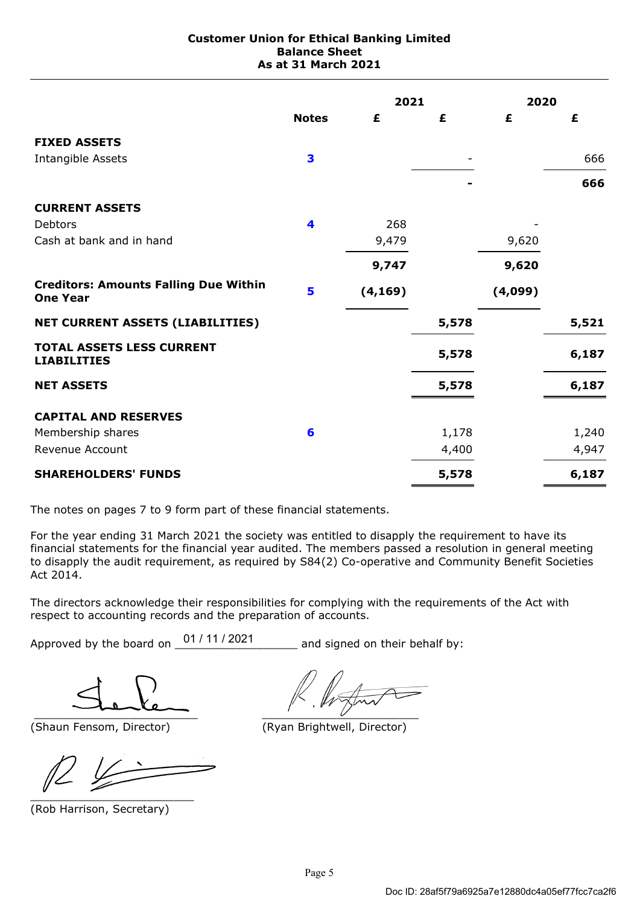### **Customer Union for Ethical Banking Limited Balance Sheet As at 31 March 2021**

|                                                                 |              | 2021     |       | 2020    |       |
|-----------------------------------------------------------------|--------------|----------|-------|---------|-------|
|                                                                 | <b>Notes</b> | £        | £     | £       | £     |
| <b>FIXED ASSETS</b>                                             |              |          |       |         |       |
| Intangible Assets                                               | 3            |          |       |         | 666   |
|                                                                 |              |          |       |         | 666   |
| <b>CURRENT ASSETS</b>                                           |              |          |       |         |       |
| Debtors                                                         | 4            | 268      |       |         |       |
| Cash at bank and in hand                                        |              | 9,479    |       | 9,620   |       |
|                                                                 |              | 9,747    |       | 9,620   |       |
| <b>Creditors: Amounts Falling Due Within</b><br><b>One Year</b> | 5            | (4, 169) |       | (4,099) |       |
| <b>NET CURRENT ASSETS (LIABILITIES)</b>                         |              |          | 5,578 |         | 5,521 |
| <b>TOTAL ASSETS LESS CURRENT</b><br><b>LIABILITIES</b>          |              |          | 5,578 |         | 6,187 |
| <b>NET ASSETS</b>                                               |              |          | 5,578 |         | 6,187 |
| <b>CAPITAL AND RESERVES</b>                                     |              |          |       |         |       |
| Membership shares                                               | 6            |          | 1,178 |         | 1,240 |
| Revenue Account                                                 |              |          | 4,400 |         | 4,947 |
| <b>SHAREHOLDERS' FUNDS</b>                                      |              |          | 5,578 |         | 6,187 |

The notes on pages 7 to 9 form part of these financial statements.

For the year ending 31 March 2021 the society was entitled to disapply the requirement to have its financial statements for the financial year audited. The members passed a resolution in general meeting to disapply the audit requirement, as required by S84(2) Co-operative and Community Benefit Societies Act 2014.

The directors acknowledge their responsibilities for complying with the requirements of the Act with respect to accounting records and the preparation of accounts.

Approved by the board on  $\frac{01/11/2021}{1/2021}$  and signed on their behalf by:

 $\overline{\phantom{a}}$ 

\_\_\_\_\_\_\_\_\_\_\_\_\_\_\_\_\_\_\_\_\_\_\_\_

(Rob Harrison, Secretary)

(Shaun Fensom, Director) (Ryan Brightwell, Director)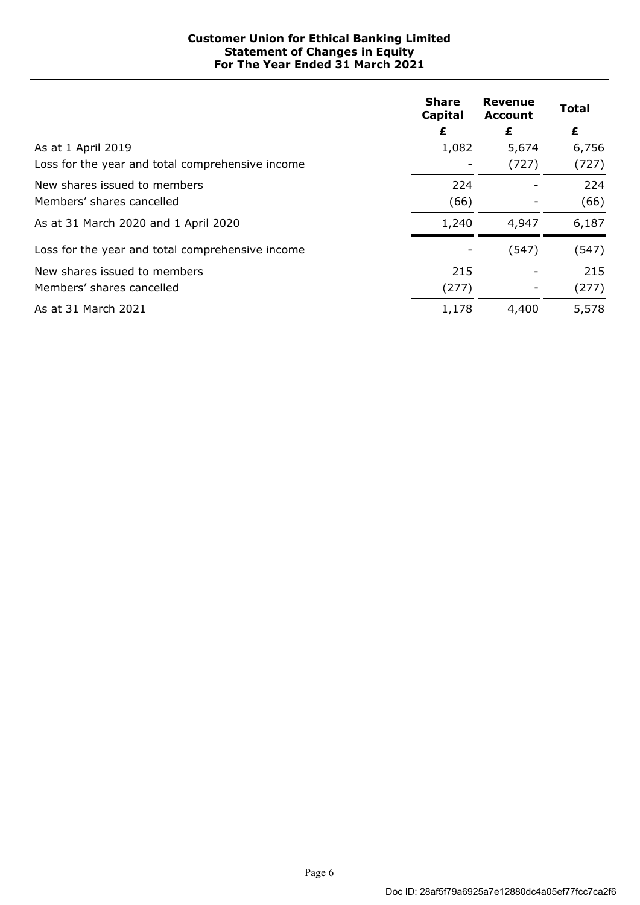### **Customer Union for Ethical Banking Limited Statement of Changes in Equity For The Year Ended 31 March 2021**

|                                                  | <b>Share</b><br>Capital | Revenue<br><b>Account</b> | <b>Total</b> |
|--------------------------------------------------|-------------------------|---------------------------|--------------|
|                                                  | £                       | £                         | £            |
| As at 1 April 2019                               | 1,082                   | 5,674                     | 6,756        |
| Loss for the year and total comprehensive income |                         | (727)                     | (727)        |
| New shares issued to members                     | 224                     |                           | 224          |
| Members' shares cancelled                        | (66)                    |                           | (66)         |
| As at 31 March 2020 and 1 April 2020             | 1,240                   | 4,947                     | 6,187        |
| Loss for the year and total comprehensive income |                         | (547)                     | (547)        |
| New shares issued to members                     | 215                     |                           | 215          |
| Members' shares cancelled                        | (277)                   |                           | (277)        |
| As at 31 March 2021                              | 1,178                   | 4,400                     | 5,578        |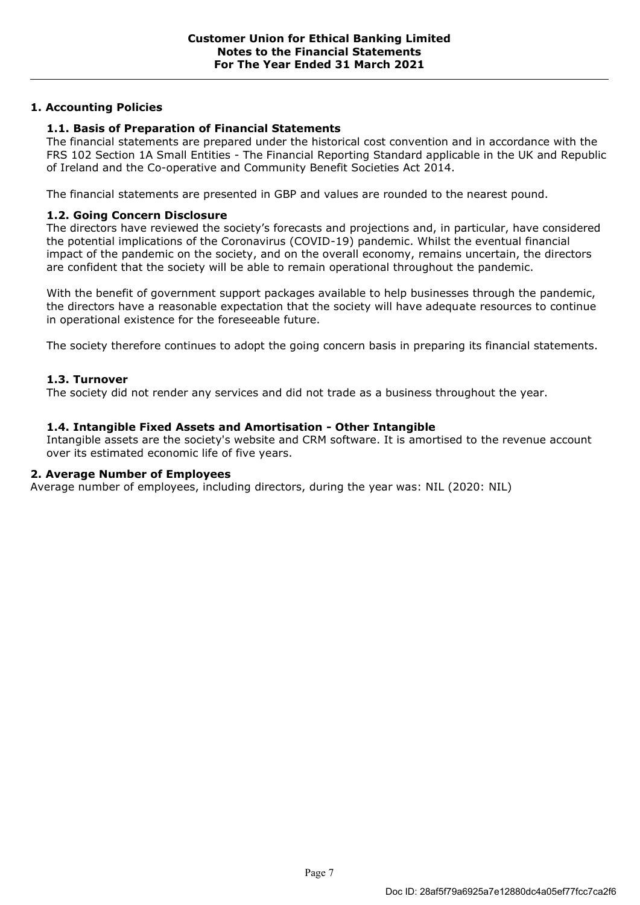# **1. Accounting Policies**

# **1.1. Basis of Preparation of Financial Statements**

The financial statements are prepared under the historical cost convention and in accordance with the FRS 102 Section 1A Small Entities - The Financial Reporting Standard applicable in the UK and Republic of Ireland and the Co-operative and Community Benefit Societies Act 2014.

The financial statements are presented in GBP and values are rounded to the nearest pound.

## **1.2. Going Concern Disclosure**

The directors have reviewed the society's forecasts and projections and, in particular, have considered the potential implications of the Coronavirus (COVID-19) pandemic. Whilst the eventual financial impact of the pandemic on the society, and on the overall economy, remains uncertain, the directors are confident that the society will be able to remain operational throughout the pandemic.

With the benefit of government support packages available to help businesses through the pandemic, the directors have a reasonable expectation that the society will have adequate resources to continue in operational existence for the foreseeable future.

The society therefore continues to adopt the going concern basis in preparing its financial statements.

## **1.3. Turnover**

The society did not render any services and did not trade as a business throughout the year.

## **1.4. Intangible Fixed Assets and Amortisation - Other Intangible**

Intangible assets are the society's website and CRM software. It is amortised to the revenue account over its estimated economic life of five years.

#### **2. Average Number of Employees**

Average number of employees, including directors, during the year was: NIL (2020: NIL)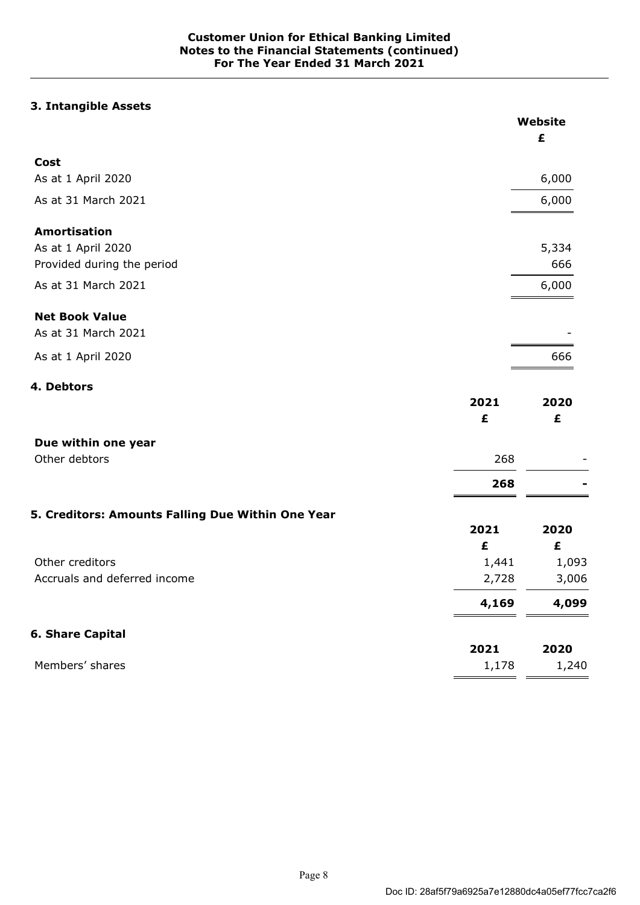# **3. Intangible Assets**

|                                                   |       | Website |
|---------------------------------------------------|-------|---------|
|                                                   |       | £       |
| Cost                                              |       |         |
| As at 1 April 2020                                |       | 6,000   |
| As at 31 March 2021                               |       | 6,000   |
| <b>Amortisation</b>                               |       |         |
| As at 1 April 2020                                |       | 5,334   |
| Provided during the period                        |       | 666     |
| As at 31 March 2021                               |       | 6,000   |
| <b>Net Book Value</b>                             |       |         |
| As at 31 March 2021                               |       |         |
| As at 1 April 2020                                |       | 666     |
| 4. Debtors                                        |       |         |
|                                                   | 2021  | 2020    |
|                                                   | £     | £       |
| Due within one year                               |       |         |
| Other debtors                                     | 268   |         |
|                                                   | 268   |         |
| 5. Creditors: Amounts Falling Due Within One Year |       |         |
|                                                   | 2021  | 2020    |
|                                                   | £     | £       |
| Other creditors                                   | 1,441 | 1,093   |
| Accruals and deferred income                      | 2,728 | 3,006   |
|                                                   | 4,169 | 4,099   |
| <b>6. Share Capital</b>                           |       |         |
|                                                   | 2021  | 2020    |
| Members' shares                                   | 1,178 | 1,240   |